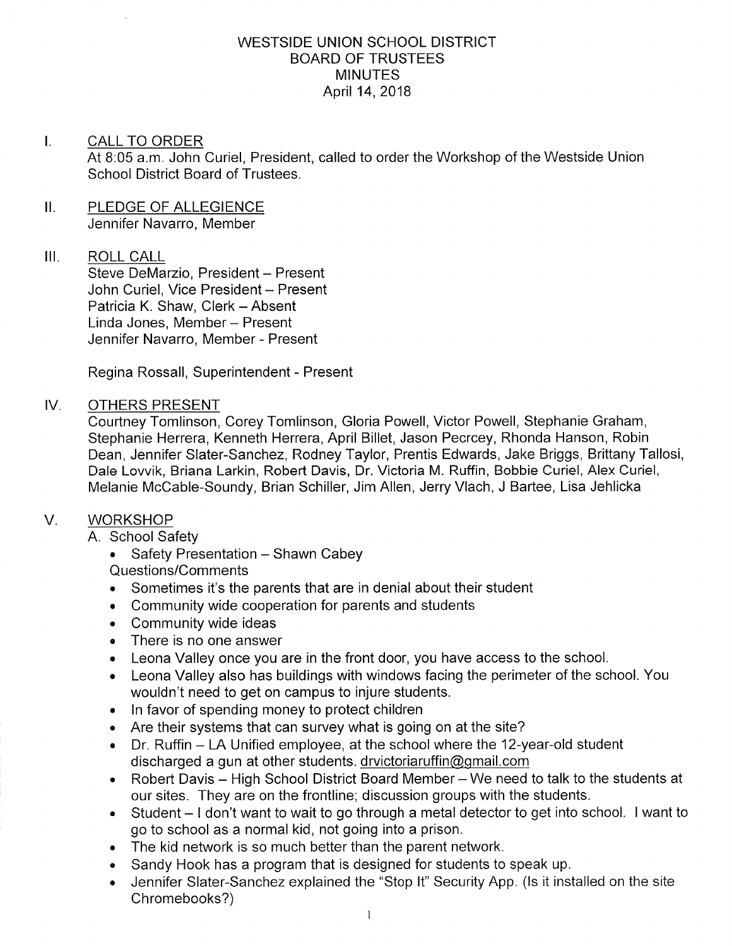## WESTSIDE UNION SCHOOL DISTRICT BOARD OF TRUSTEES MINUTES April 14, 2018

#### $\mathsf{L}$ CALL TO ORDER

At 8:05 a.m. John Curiel, President, called to order the Workshop of the Westside Union School District Board of Trustees.

II. PLEDGE OF ALLEGIENCE Jennifer Navarro, Member

### III. ROLL CALL

Steve DeMarzio, President - Present John Curiel, Vice President - Present Patricia K. Shaw, Clerk - Absent Linda Jones, Member - Present Jennifer Navarro, Member - Present

Regina Rossall, Superintendent - Present

### IV OTHERS PRESENT

Courtney Tomlinson, Corey Tomlinson, Gloria Powell, Victor Powell, Stephanie Graham, Stephanie Herrera, Kenneth Herrera, April Billet, Jason Pecrcey, Rhonda Hanson, Robin Dean, Jennifer Slater-Sanchez, Rodney Taylor, Prentis Edwards, Jake Briggs, Brittany Tallosi, Dale Lovvik, Briana Larkin, Robeft Davis, Dr. Victoria M. Ruffin, Bobbie Curiel, Alex Curiel, Melanie McCable-Soundy, Brian Schiller, Jim Allen, Jerry Vlach, J Baftee, Lisa Jehlicka

# V. WORKSHOP

A. School Safety

• Safety Presentation - Shawn Cabey

Questions/Comments

- . Sometimes it's the parents that are in denial about their student
- . Community wide cooperation for parents and students
- . Community wide ideas
- There is no one answer
- . Leona Valley once you are in the front door, you have access to the school.
- . Leona Valley also has buildings with windows facing the perimeter of the school. You wouldn't need to get on campus to injure students.
- . ln favor of spending money to protect children
- . Are their systems that can survey what is going on at the site?
- . Dr. Ruffin LA Unified employee, at the school where the 12-year-old student discharged a gun at other students. drvictoriaruffin@gmail.com
- Robert Davis High School District Board Member We need to talk to the students at our sites. They are on the frontline; discussion groups with the students.
- . Student I don't want to wait to go through a metal detector to get into school. I want to go to school as a normal kid, not going into a prison.
- . The kid network is so much better than the parent network.
- . Sandy Hook has a program that is designed for students to speak up.
- . Jennifer Slater-Sanchez explained the "Stop lt" Security App. (ls it installed on the site Chromebooks?)